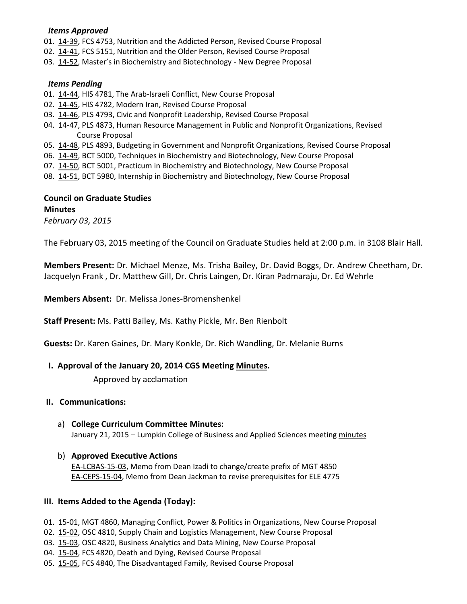### *Items Approved*

- 01. [14-39,](http://castle.eiu.edu/~eiucgs/currentagendaitems/agenda14-39.pdf) FCS 4753, Nutrition and the Addicted Person, Revised Course Proposal
- 02. [14-41,](http://castle.eiu.edu/~eiucgs/currentagendaitems/agenda14-41.pdf) FCS 5151, Nutrition and the Older Person, Revised Course Proposal
- 03. [14-52](http://castle.eiu.edu/~eiucgs/currentagendaitems/agenda14-52.pdf), Master's in Biochemistry and Biotechnology New Degree Proposal

### *Items Pending*

- 01. [14-44,](http://castle.eiu.edu/~eiucgs/currentagendaitems/agenda14-44.pdf) HIS 4781, The Arab-Israeli Conflict, New Course Proposal
- 02. [14-45,](http://castle.eiu.edu/~eiucgs/currentagendaitems/agenda14-45.pdf) HIS 4782, Modern Iran, Revised Course Proposal
- 03. [14-46,](http://castle.eiu.edu/~eiucgs/currentagendaitems/agenda14-46.pdf) PLS 4793, Civic and Nonprofit Leadership, Revised Course Proposal
- 04. [14-47,](http://castle.eiu.edu/~eiucgs/currentagendaitems/agenda14-47.pdf) PLS 4873, Human Resource Management in Public and Nonprofit Organizations, Revised Course Proposal
- 05. [14-48,](http://castle.eiu.edu/~eiucgs/currentagendaitems/agenda14-48.pdf) PLS 4893, Budgeting in Government and Nonprofit Organizations, Revised Course Proposal
- 06. [14-49,](http://castle.eiu.edu/~eiucgs/currentagendaitems/agenda14-49.pdf) BCT 5000, Techniques in Biochemistry and Biotechnology, New Course Proposal
- 07. [14-50,](http://castle.eiu.edu/~eiucgs/currentagendaitems/agenda14-50.pdf) BCT 5001, Practicum in Biochemistry and Biotechnology, New Course Proposal
- 08. [14-51,](http://castle.eiu.edu/~eiucgs/currentagendaitems/agenda14-51.pdf) BCT 5980, Internship in Biochemistry and Biotechnology, New Course Proposal

# **Council on Graduate Studies Minutes**

*February 03, 2015*

The February 03, 2015 meeting of the Council on Graduate Studies held at 2:00 p.m. in 3108 Blair Hall.

**Members Present:** Dr. Michael Menze, Ms. Trisha Bailey, Dr. David Boggs, Dr. Andrew Cheetham, Dr. Jacquelyn Frank , Dr. Matthew Gill, Dr. Chris Laingen, Dr. Kiran Padmaraju, Dr. Ed Wehrle

**Members Absent:** Dr. Melissa Jones-Bromenshenkel

**Staff Present:** Ms. Patti Bailey, Ms. Kathy Pickle, Mr. Ben Rienbolt

**Guests:** Dr. Karen Gaines, Dr. Mary Konkle, Dr. Rich Wandling, Dr. Melanie Burns

## **I. Approval of the January 20, 2014 CGS Meeting [Minutes.](http://castle.eiu.edu/eiucgs/currentminutes/Minutes01-20-15.pdf)**

Approved by acclamation

### **II. Communications:**

a) **College Curriculum Committee Minutes:** January 21, 2015 – Lumpkin College of Business and Applied Sciences meeting [minutes](http://castle.eiu.edu/~eiucgs/currentagendaitems/LCBASMin01-21-15.pdf)

## b) **Approved Executive Actions** [EA-LCBAS-15-03,](http://castle.eiu.edu/~eiucgs/exec-actions/EA-LCBAS-15-03.pdf) Memo from Dean Izadi to change/create prefix of MGT 4850 [EA-CEPS-15-04,](http://castle.eiu.edu/~eiucgs/exec-actions/EA-CEPS-15-04.pdf) Memo from Dean Jackman to revise prerequisites for ELE 4775

## **III. Items Added to the Agenda (Today):**

- 01. [15-01,](http://castle.eiu.edu/~eiucgs/currentagendaitems/agenda15-01.pdf) MGT 4860, Managing Conflict, Power & Politics in Organizations, New Course Proposal
- 02. [15-02,](http://castle.eiu.edu/~eiucgs/currentagendaitems/agenda15-02.pdf) OSC 4810, Supply Chain and Logistics Management, New Course Proposal
- 03. [15-03,](http://castle.eiu.edu/~eiucgs/currentagendaitems/agenda15-03.pdf) OSC 4820, Business Analytics and Data Mining, New Course Proposal
- 04. [15-04,](http://castle.eiu.edu/~eiucgs/currentagendaitems/agenda15-04.pdf) FCS 4820, Death and Dying, Revised Course Proposal
- 05. [15-05,](http://castle.eiu.edu/~eiucgs/currentagendaitems/agenda15-05.pdf) FCS 4840, The Disadvantaged Family, Revised Course Proposal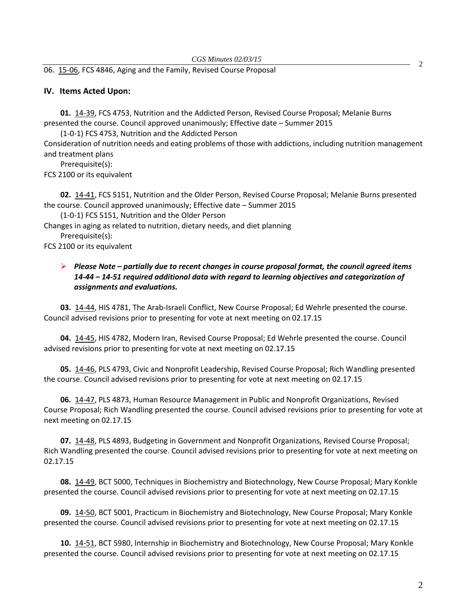06. [15-06,](http://castle.eiu.edu/~eiucgs/currentagendaitems/agenda15-06.pdf) FCS 4846, Aging and the Family, Revised Course Proposal

#### **IV. Items Acted Upon:**

**01.** [14-39,](http://castle.eiu.edu/~eiucgs/currentagendaitems/agenda14-39.pdf) FCS 4753, Nutrition and the Addicted Person, Revised Course Proposal; Melanie Burns presented the course. Council approved unanimously; Effective date – Summer 2015

(1-0-1) FCS 4753, Nutrition and the Addicted Person

Consideration of nutrition needs and eating problems of those with addictions, including nutrition management and treatment plans

Prerequisite(s):

FCS 2100 or its equivalent

**02.** [14-41,](http://castle.eiu.edu/~eiucgs/currentagendaitems/agenda14-41.pdf) FCS 5151, Nutrition and the Older Person, Revised Course Proposal; Melanie Burns presented the course. Council approved unanimously; Effective date – Summer 2015

(1-0-1) FCS 5151, Nutrition and the Older Person

Changes in aging as related to nutrition, dietary needs, and diet planning Prerequisite(s):

FCS 2100 or its equivalent

## *Please Note – partially due to recent changes in course proposal format, the council agreed items 14-44 – 14-51 required additional data with regard to learning objectives and categorization of assignments and evaluations.*

**03.** [14-44,](http://castle.eiu.edu/~eiucgs/currentagendaitems/agenda14-44.pdf) HIS 4781, The Arab-Israeli Conflict, New Course Proposal; Ed Wehrle presented the course. Council advised revisions prior to presenting for vote at next meeting on 02.17.15

**04.** [14-45,](http://castle.eiu.edu/~eiucgs/currentagendaitems/agenda14-45.pdf) HIS 4782, Modern Iran, Revised Course Proposal; Ed Wehrle presented the course. Council advised revisions prior to presenting for vote at next meeting on 02.17.15

**05.** [14-46,](http://castle.eiu.edu/~eiucgs/currentagendaitems/agenda14-46.pdf) PLS 4793, Civic and Nonprofit Leadership, Revised Course Proposal; Rich Wandling presented the course. Council advised revisions prior to presenting for vote at next meeting on 02.17.15

**06.** [14-47,](http://castle.eiu.edu/~eiucgs/currentagendaitems/agenda14-47.pdf) PLS 4873, Human Resource Management in Public and Nonprofit Organizations, Revised Course Proposal; Rich Wandling presented the course. Council advised revisions prior to presenting for vote at next meeting on 02.17.15

**07.** [14-48,](http://castle.eiu.edu/~eiucgs/currentagendaitems/agenda14-48.pdf) PLS 4893, Budgeting in Government and Nonprofit Organizations, Revised Course Proposal; Rich Wandling presented the course. Council advised revisions prior to presenting for vote at next meeting on 02.17.15

**08.** [14-49,](http://castle.eiu.edu/~eiucgs/currentagendaitems/agenda14-49.pdf) BCT 5000, Techniques in Biochemistry and Biotechnology, New Course Proposal; Mary Konkle presented the course. Council advised revisions prior to presenting for vote at next meeting on 02.17.15

**09.** [14-50,](http://castle.eiu.edu/~eiucgs/currentagendaitems/agenda14-50.pdf) BCT 5001, Practicum in Biochemistry and Biotechnology, New Course Proposal; Mary Konkle presented the course. Council advised revisions prior to presenting for vote at next meeting on 02.17.15

**10.** [14-51,](http://castle.eiu.edu/~eiucgs/currentagendaitems/agenda14-51.pdf) BCT 5980, Internship in Biochemistry and Biotechnology, New Course Proposal; Mary Konkle presented the course. Council advised revisions prior to presenting for vote at next meeting on 02.17.15

2